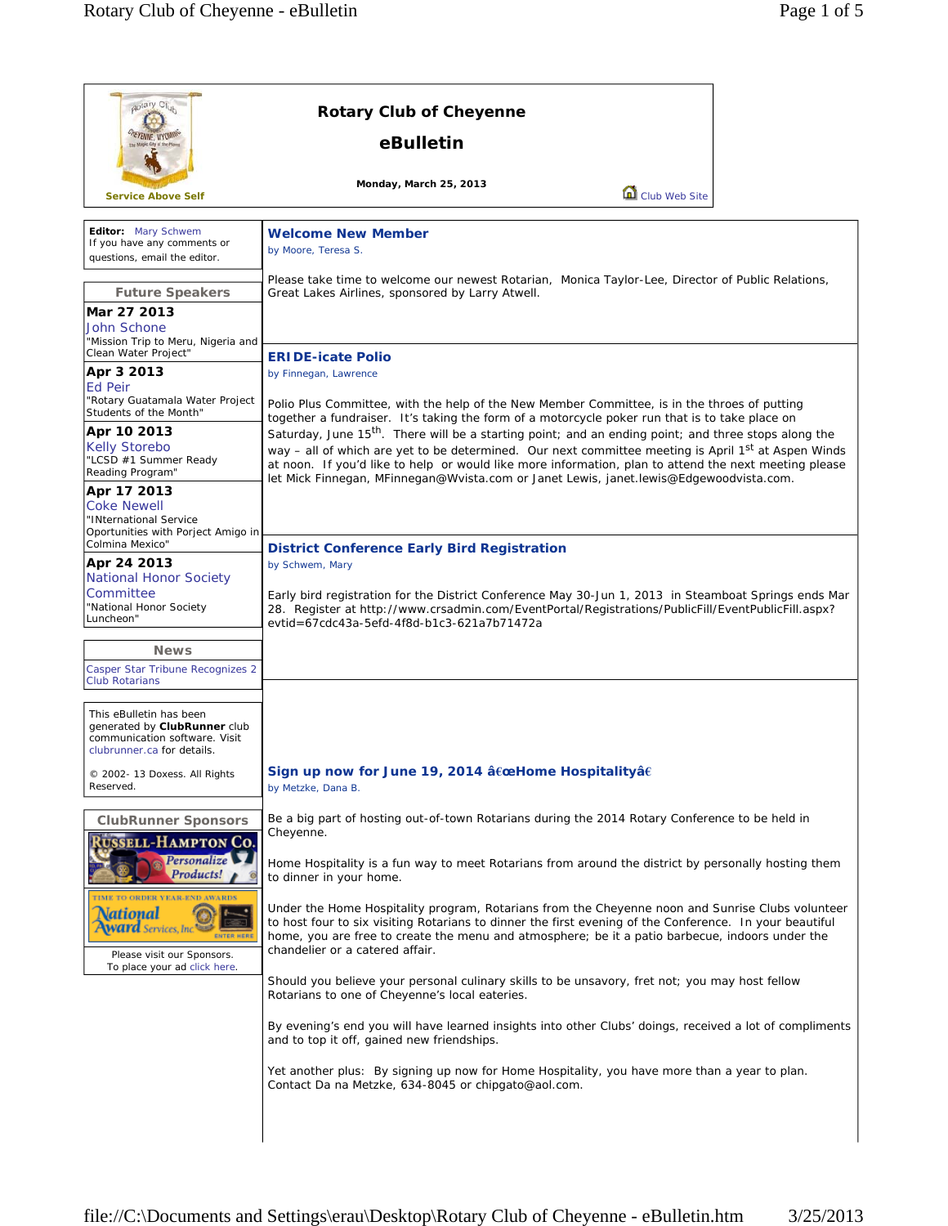$\mathsf{r}$ 

| potary Club                                                                                                                                                             | <b>Rotary Club of Cheyenne</b>                                                                                                                                                                                                                                                                                                                                                                                                                                                                                                                                                                                                                                                                |  |
|-------------------------------------------------------------------------------------------------------------------------------------------------------------------------|-----------------------------------------------------------------------------------------------------------------------------------------------------------------------------------------------------------------------------------------------------------------------------------------------------------------------------------------------------------------------------------------------------------------------------------------------------------------------------------------------------------------------------------------------------------------------------------------------------------------------------------------------------------------------------------------------|--|
| <b>EYENNE, WYU</b>                                                                                                                                                      | eBulletin                                                                                                                                                                                                                                                                                                                                                                                                                                                                                                                                                                                                                                                                                     |  |
| <b>Service Above Self</b>                                                                                                                                               | Monday, March 25, 2013<br>Club Web Site                                                                                                                                                                                                                                                                                                                                                                                                                                                                                                                                                                                                                                                       |  |
| Editor: Mary Schwem<br>If you have any comments or<br>questions, email the editor.                                                                                      | <b>Welcome New Member</b><br>by Moore, Teresa S.                                                                                                                                                                                                                                                                                                                                                                                                                                                                                                                                                                                                                                              |  |
| <b>Future Speakers</b><br>Mar 27 2013<br><b>John Schone</b><br>"Mission Trip to Meru, Nigeria and                                                                       | Please take time to welcome our newest Rotarian, Monica Taylor-Lee, Director of Public Relations,<br>Great Lakes Airlines, sponsored by Larry Atwell.                                                                                                                                                                                                                                                                                                                                                                                                                                                                                                                                         |  |
| Clean Water Project"<br>Apr 3 2013<br><b>Ed Peir</b><br>"Rotary Guatamala Water Project<br>Students of the Month"                                                       | <b>ERIDE-icate Polio</b><br>by Finnegan, Lawrence<br>Polio Plus Committee, with the help of the New Member Committee, is in the throes of putting<br>together a fundraiser. It's taking the form of a motorcycle poker run that is to take place on<br>Saturday, June 15 <sup>th</sup> . There will be a starting point; and an ending point; and three stops along the<br>way - all of which are yet to be determined. Our next committee meeting is April 1 <sup>st</sup> at Aspen Winds<br>at noon. If you'd like to help or would like more information, plan to attend the next meeting please<br>let Mick Finnegan, MFinnegan@Wvista.com or Janet Lewis, janet.lewis@Edgewoodvista.com. |  |
| Apr 10 2013<br><b>Kelly Storebo</b><br>"LCSD #1 Summer Ready<br>Reading Program"                                                                                        |                                                                                                                                                                                                                                                                                                                                                                                                                                                                                                                                                                                                                                                                                               |  |
| Apr 17 2013<br><b>Coke Newell</b><br>"INternational Service<br>Oportunities with Porject Amigo in<br>Colmina Mexico"                                                    | <b>District Conference Early Bird Registration</b>                                                                                                                                                                                                                                                                                                                                                                                                                                                                                                                                                                                                                                            |  |
| Apr 24 2013<br><b>National Honor Society</b><br>Committee<br>"National Honor Society<br>Luncheon"                                                                       | by Schwem, Mary<br>Early bird registration for the District Conference May 30-Jun 1, 2013 in Steamboat Springs ends Mar<br>28. Register at http://www.crsadmin.com/EventPortal/Registrations/PublicFill/EventPublicFill.aspx?<br>evtid=67cdc43a-5efd-4f8d-b1c3-621a7b71472a                                                                                                                                                                                                                                                                                                                                                                                                                   |  |
| <b>News</b><br>Casper Star Tribune Recognizes 2<br><b>Club Rotarians</b>                                                                                                |                                                                                                                                                                                                                                                                                                                                                                                                                                                                                                                                                                                                                                                                                               |  |
| This eBulletin has been<br>generated by ClubRunner club<br>communication software. Visit<br>clubrunner.ca for details.                                                  |                                                                                                                                                                                                                                                                                                                                                                                                                                                                                                                                                                                                                                                                                               |  |
| © 2002- 13 Doxess. All Rights<br>Reserved.                                                                                                                              | Sign up now for June 19, 2014 "Home Hospitalityâ€<br>by Metzke, Dana B.                                                                                                                                                                                                                                                                                                                                                                                                                                                                                                                                                                                                                       |  |
| <b>ClubRunner Sponsors</b><br><b>RUSSELL-HAMPTON CO.</b><br>Personalize                                                                                                 | Be a big part of hosting out-of-town Rotarians during the 2014 Rotary Conference to be held in<br>Cheyenne.                                                                                                                                                                                                                                                                                                                                                                                                                                                                                                                                                                                   |  |
| Products!<br>TIME TO ORDER YEAR-END AWARDS<br>Vational<br><b>Ward</b> Services, Inc.<br><b>ENTER HERI</b><br>Please visit our Sponsors.<br>To place your ad click here. | Home Hospitality is a fun way to meet Rotarians from around the district by personally hosting them<br>to dinner in your home.<br>Under the Home Hospitality program, Rotarians from the Cheyenne noon and Sunrise Clubs volunteer<br>to host four to six visiting Rotarians to dinner the first evening of the Conference. In your beautiful<br>home, you are free to create the menu and atmosphere; be it a patio barbecue, indoors under the<br>chandelier or a catered affair.                                                                                                                                                                                                           |  |
|                                                                                                                                                                         | Should you believe your personal culinary skills to be unsavory, fret not; you may host fellow<br>Rotarians to one of Cheyenne's local eateries.                                                                                                                                                                                                                                                                                                                                                                                                                                                                                                                                              |  |
|                                                                                                                                                                         | By evening's end you will have learned insights into other Clubs' doings, received a lot of compliments<br>and to top it off, gained new friendships.                                                                                                                                                                                                                                                                                                                                                                                                                                                                                                                                         |  |
|                                                                                                                                                                         | Yet another plus: By signing up now for Home Hospitality, you have more than a year to plan.<br>Contact Da na Metzke, 634-8045 or chipgato@aol.com.                                                                                                                                                                                                                                                                                                                                                                                                                                                                                                                                           |  |
|                                                                                                                                                                         |                                                                                                                                                                                                                                                                                                                                                                                                                                                                                                                                                                                                                                                                                               |  |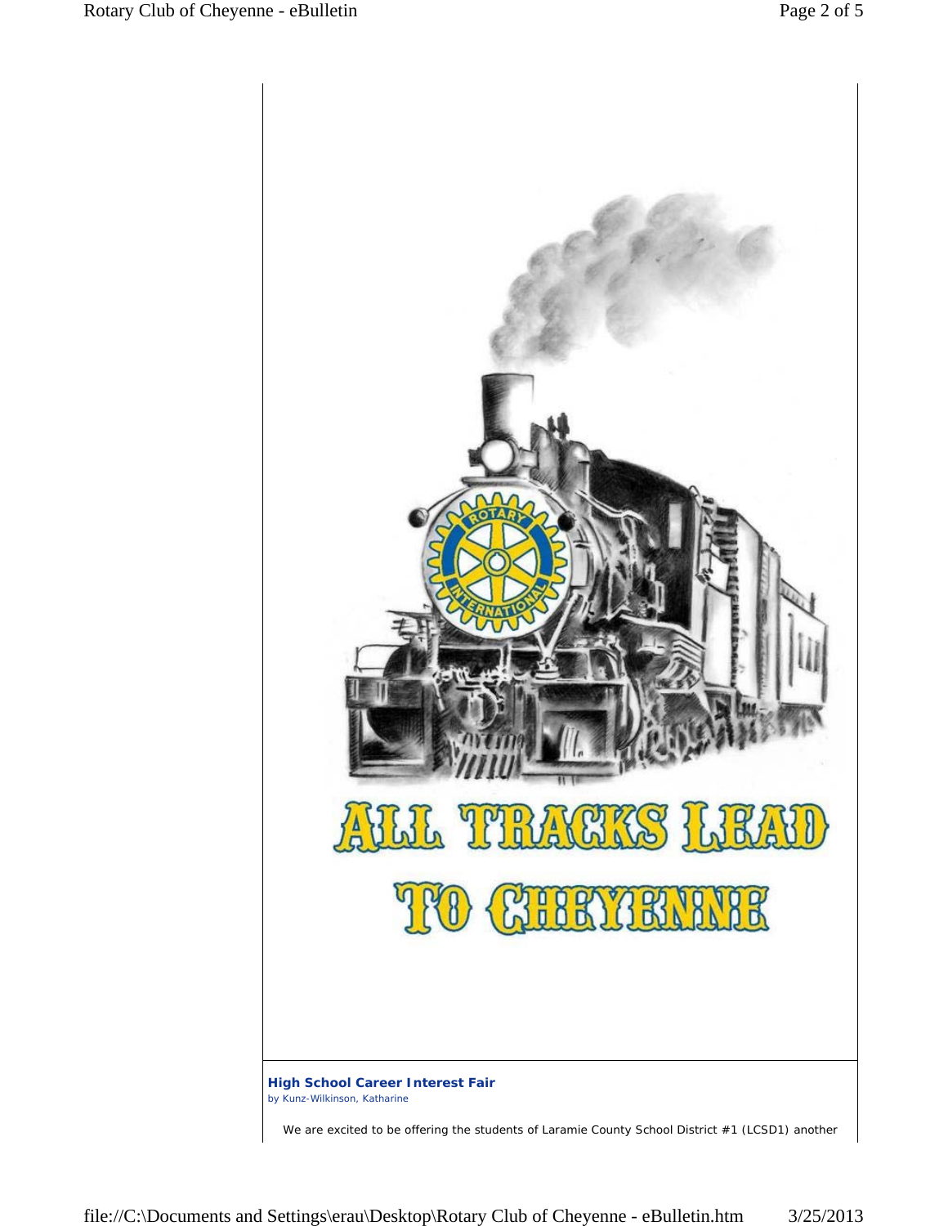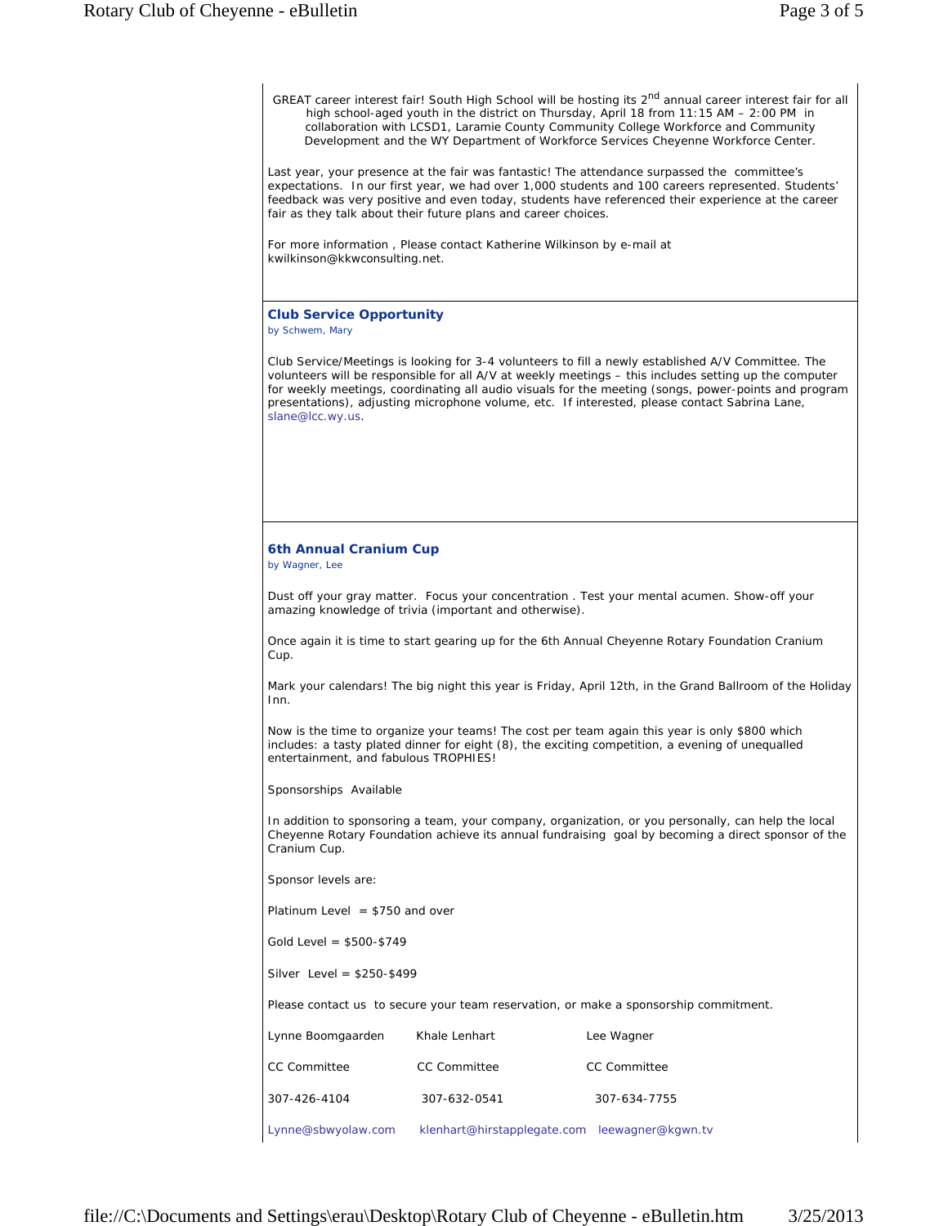GREAT career interest fair! South High School will be hosting its 2<sup>nd</sup> annual career interest fair for all high school-aged youth in the district on Thursday, April 18 from 11:15 AM – 2:00 PM in collaboration with LCSD1, Laramie County Community College Workforce and Community Development and the WY Department of Workforce Services Cheyenne Workforce Center. Last year, your presence at the fair was fantastic! The attendance surpassed the committee's expectations. In our first year, we had over 1,000 students and 100 careers represented. Students' feedback was very positive and even today, students have referenced their experience at the career fair as they talk about their future plans and career choices. For more information , Please contact Katherine Wilkinson by e-mail at kwilkinson@kkwconsulting.net. **Club Service Opportunity** *by Schwem, Mary* Club Service/Meetings is looking for 3-4 volunteers to fill a newly established A/V Committee. The volunteers will be responsible for all A/V at weekly meetings – this includes setting up the computer for weekly meetings, coordinating all audio visuals for the meeting (songs, power-points and program presentations), adjusting microphone volume, etc. If interested, please contact Sabrina Lane, slane@lcc.wy.us. **6th Annual Cranium Cup** *by Wagner, Lee* Dust off your gray matter. Focus your concentration . Test your mental acumen. Show-off your amazing knowledge of trivia (important and otherwise). Once again it is time to start gearing up for the 6th Annual Cheyenne Rotary Foundation Cranium Cup. Mark your calendars! The big night this year is Friday, April 12th, in the Grand Ballroom of the Holiday Inn. Now is the time to organize your teams! The cost per team again this year is only \$800 which includes: a tasty plated dinner for eight (8), the exciting competition, a evening of unequalled entertainment, and fabulous TROPHIES! Sponsorships Available In addition to sponsoring a team, your company, organization, or you personally, can help the local Cheyenne Rotary Foundation achieve its annual fundraising goal by becoming a direct sponsor of the Cranium Cup. Sponsor levels are: Platinum Level  $= $750$  and over Gold Level = \$500-\$749 Silver Level = \$250-\$499 Please contact us to secure your team reservation, or make a sponsorship commitment. Lynne Boomgaarden Khale Lenhart The Lee Wagner CC Committee CC Committee CC Committee 307-426-4104 307-632-0541 307-634-7755 Lynne@sbwyolaw.com klenhart@hirstapplegate.com leewagner@kgwn.tv file://C:\Documents and Settings\erau\Desktop\Rotary Club of Cheyenne - eBulletin.htm 3/25/2013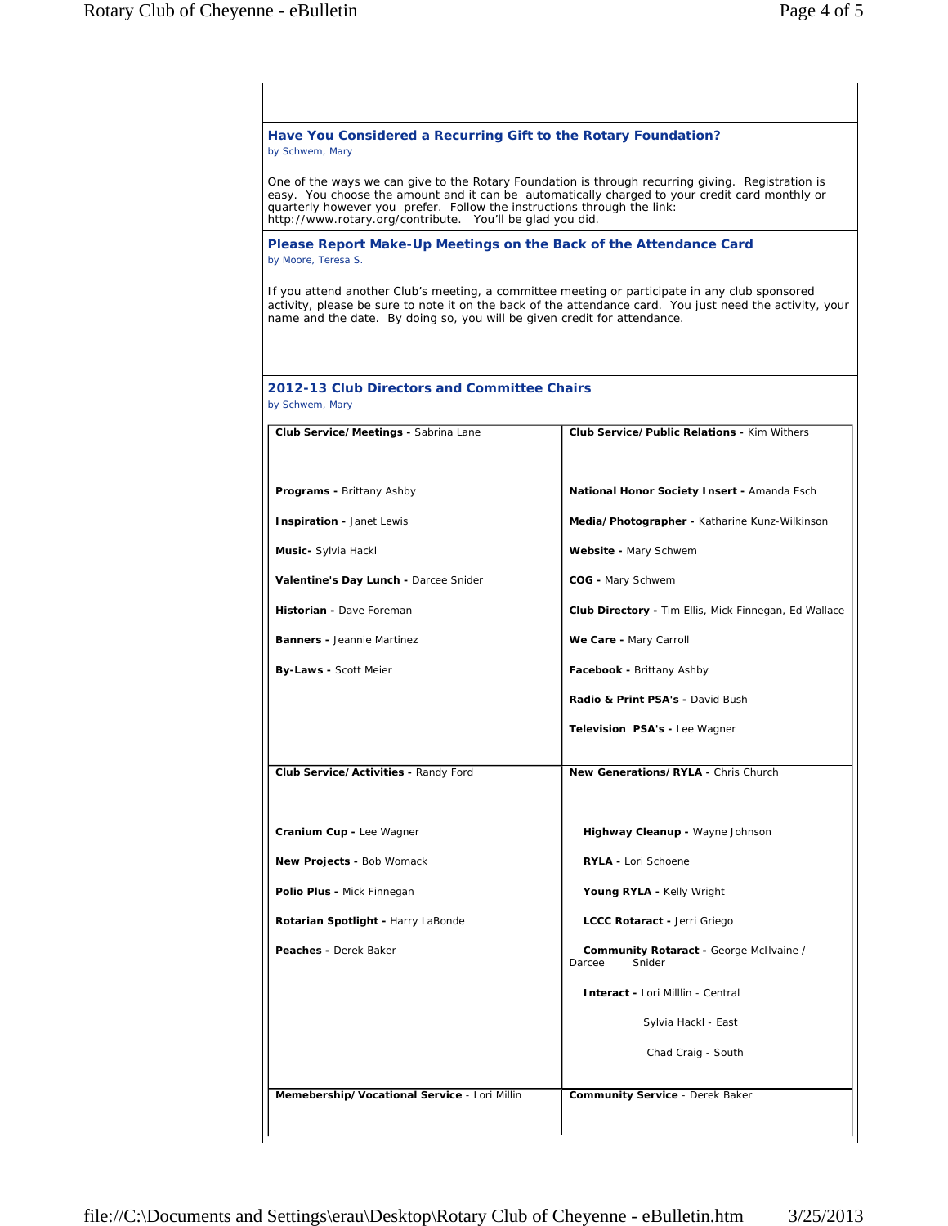| Have You Considered a Recurring Gift to the Rotary Foundation?<br>by Schwem, Mary                                                    |                                                                                                                                                                                                            |
|--------------------------------------------------------------------------------------------------------------------------------------|------------------------------------------------------------------------------------------------------------------------------------------------------------------------------------------------------------|
| quarterly however you prefer. Follow the instructions through the link:<br>http://www.rotary.org/contribute. You'll be glad you did. | One of the ways we can give to the Rotary Foundation is through recurring giving. Registration is<br>easy. You choose the amount and it can be automatically charged to your credit card monthly or        |
| Please Report Make-Up Meetings on the Back of the Attendance Card<br>by Moore, Teresa S.                                             |                                                                                                                                                                                                            |
| name and the date. By doing so, you will be given credit for attendance.                                                             | If you attend another Club's meeting, a committee meeting or participate in any club sponsored<br>activity, please be sure to note it on the back of the attendance card. You just need the activity, your |
| 2012-13 Club Directors and Committee Chairs<br>by Schwem, Mary                                                                       |                                                                                                                                                                                                            |
| Club Service/Meetings - Sabrina Lane                                                                                                 | <b>Club Service/Public Relations - Kim Withers</b>                                                                                                                                                         |
| Programs - Brittany Ashby                                                                                                            | National Honor Society Insert - Amanda Esch                                                                                                                                                                |
| Inspiration - Janet Lewis                                                                                                            | Media/Photographer - Katharine Kunz-Wilkinson                                                                                                                                                              |
| Music- Sylvia Hackl                                                                                                                  | Website - Mary Schwem                                                                                                                                                                                      |
| Valentine's Day Lunch - Darcee Snider                                                                                                | COG - Mary Schwem                                                                                                                                                                                          |
| Historian - Dave Foreman                                                                                                             | <b>Club Directory - Tim Ellis, Mick Finnegan, Ed Wallace</b>                                                                                                                                               |
| <b>Banners - Jeannie Martinez</b>                                                                                                    | We Care - Mary Carroll                                                                                                                                                                                     |
| <b>By-Laws - Scott Meier</b>                                                                                                         | Facebook - Brittany Ashby                                                                                                                                                                                  |
|                                                                                                                                      | Radio & Print PSA's - David Bush                                                                                                                                                                           |
|                                                                                                                                      | Television PSA's - Lee Wagner                                                                                                                                                                              |
| Club Service/Activities - Randy Ford                                                                                                 | New Generations/RYLA - Chris Church                                                                                                                                                                        |
| Cranium Cup - Lee Wagner                                                                                                             | Highway Cleanup - Wayne Johnson                                                                                                                                                                            |
| New Projects - Bob Womack                                                                                                            | <b>RYLA - Lori Schoene</b>                                                                                                                                                                                 |
| Polio Plus - Mick Finnegan                                                                                                           | Young RYLA - Kelly Wright                                                                                                                                                                                  |
| Rotarian Spotlight - Harry LaBonde                                                                                                   | LCCC Rotaract - Jerri Griego                                                                                                                                                                               |
| Peaches - Derek Baker                                                                                                                | Community Rotaract - George McIlvaine /<br>Snider<br>Darcee                                                                                                                                                |
|                                                                                                                                      | Interact - Lori Milllin - Central                                                                                                                                                                          |
|                                                                                                                                      | Sylvia Hackl - East                                                                                                                                                                                        |
|                                                                                                                                      | Chad Craig - South                                                                                                                                                                                         |
| Memebership/Vocational Service - Lori Millin                                                                                         | <b>Community Service - Derek Baker</b>                                                                                                                                                                     |